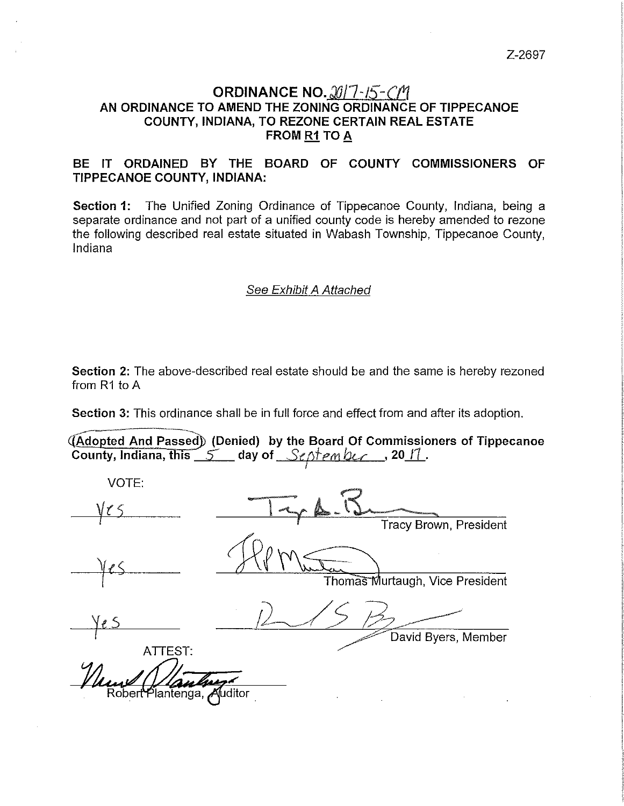Z-2697

## **ORDINANCE NO.** *:J0/7-15-Cfl*  **AN ORDINANCE TO AMEND THE ZONING ORDINANCE OF TIPPECANOE COUNTY, INDIANA, TO REZONE CERTAIN REAL ESTATE FROM R1 TO A**

#### **BE IT ORDAINED BY THE BOARD OF COUNTY COMMISSIONERS OF TIPPECANOE COUNTY, INDIANA:**

**Section 1:** The Unified Zoning Ordinance of Tippecanoe County, Indiana, being a separate ordinance and not part of a unified county code is hereby amended to rezone the following described real estate situated in Wabash Township, Tippecanoe County, Indiana

#### See Exhibit A Attached

**Section 2:** The above-described real estate should be and the same is hereby rezoned from R1 to A

**Section** 3: This ordinance shall be in full force and effect from and after its adoption.

**(Adopted And Passed) (Denied) by the Board Of Commissioners of Tippecanoe County, Indiana, this**  $5$  **day of**  $\frac{Se}{He}mbc$ **, 2017.** 

VOTE:  $Yts$ **Tracy Brown, President**  $\frac{1}{2}$ Thomas Murtaugh, Vice President David Byers, Member ATIEST: Plantenga, Auditor Robert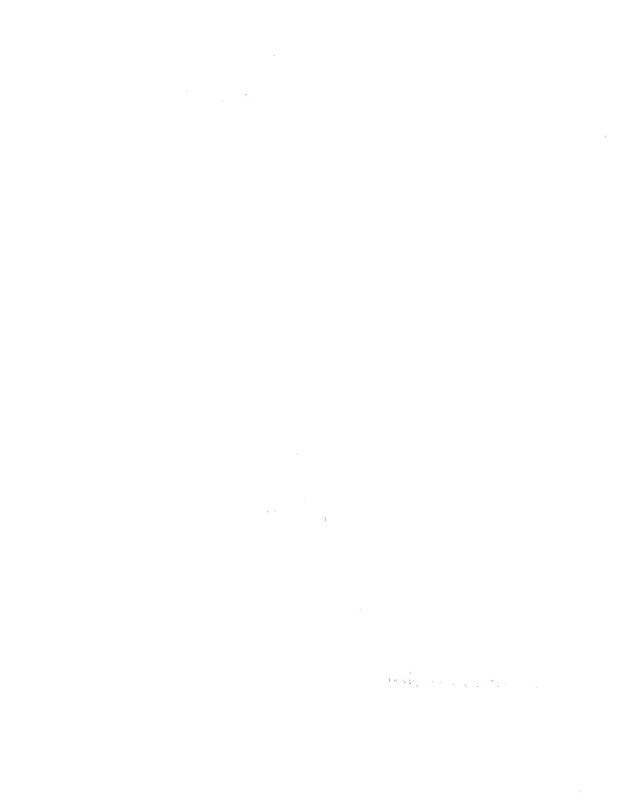$\label{eq:2.1} \frac{1}{\sqrt{2\pi}}\frac{1}{\sqrt{2\pi}}\frac{1}{\sqrt{2\pi}}\frac{1}{\sqrt{2\pi}}\frac{1}{\sqrt{2\pi}}\frac{1}{\sqrt{2\pi}}\frac{1}{\sqrt{2\pi}}\frac{1}{\sqrt{2\pi}}\frac{1}{\sqrt{2\pi}}\frac{1}{\sqrt{2\pi}}\frac{1}{\sqrt{2\pi}}\frac{1}{\sqrt{2\pi}}\frac{1}{\sqrt{2\pi}}\frac{1}{\sqrt{2\pi}}\frac{1}{\sqrt{2\pi}}\frac{1}{\sqrt{2\pi}}\frac{1}{\sqrt{2\pi}}\frac{1}{\sqrt$ 

 $\label{eq:2.1} \frac{1}{\sqrt{2}}\int_{0}^{\infty}\frac{1}{\sqrt{2\pi}}\left(\frac{1}{\sqrt{2\pi}}\right)^{2}d\mu\,d\mu\,.$ 

 $\label{eq:2.1} \frac{1}{\sqrt{2}}\left(\frac{1}{\sqrt{2}}\right)^{2} \left(\frac{1}{\sqrt{2}}\right)^{2} \left(\frac{1}{\sqrt{2}}\right)^{2} \left(\frac{1}{\sqrt{2}}\right)^{2} \left(\frac{1}{\sqrt{2}}\right)^{2} \left(\frac{1}{\sqrt{2}}\right)^{2} \left(\frac{1}{\sqrt{2}}\right)^{2} \left(\frac{1}{\sqrt{2}}\right)^{2} \left(\frac{1}{\sqrt{2}}\right)^{2} \left(\frac{1}{\sqrt{2}}\right)^{2} \left(\frac{1}{\sqrt{2}}\right)^{2} \left(\$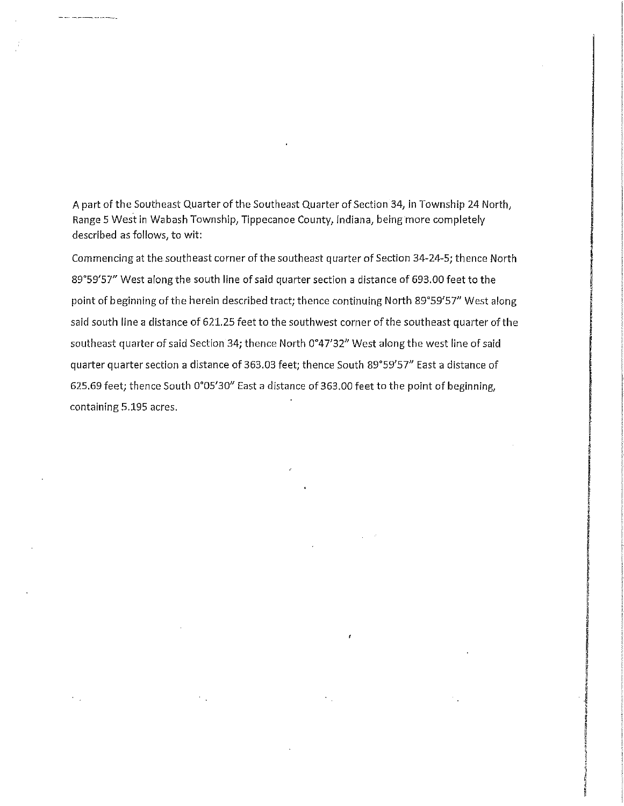A part of the Southeast Quarter of the Southeast Quarter of Section 34, in Township 24 North, Range 5 West in Wabash Township, Tippecanoe County, Indiana, being more completely described as follows, to wit:

**.**<br>The results of the results of the results of the results of the results of the results of the results of the r

I I

Commencing at the southeast corner of the southeast quarter of Section 34-24-5; thence North 89°59'57" West along the south line of said quarter section a distance of 693.00 feet to the point of beginning of the herein described tract; thence continuing North 89°59'57" West along said south line a distance of 621.25 feet to the southwest corner of the southeast quarter of the southeast quarter of said Section 34; thence North 0°47'32" West along the west line of said quarter quarter section a distance of 363.03 feet; thence south 89°59'57" East a distance of 625.69 feet; thence South 0°05'30" East a distance of 363.00 feet to the point of beginning, containing 5.195 acres.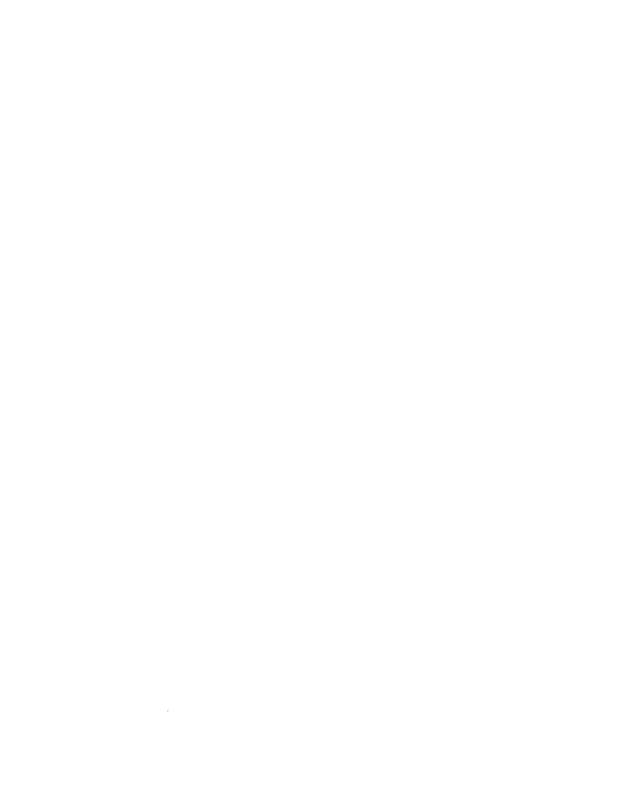$\label{eq:2.1} \frac{1}{\sqrt{2}}\int_{\mathbb{R}^3}\frac{1}{\sqrt{2}}\left(\frac{1}{\sqrt{2}}\right)^2\frac{1}{\sqrt{2}}\left(\frac{1}{\sqrt{2}}\right)^2\frac{1}{\sqrt{2}}\left(\frac{1}{\sqrt{2}}\right)^2\frac{1}{\sqrt{2}}\left(\frac{1}{\sqrt{2}}\right)^2.$  $\label{eq:2.1} \frac{1}{\sqrt{2}}\int_{\mathbb{R}^3}\frac{1}{\sqrt{2}}\left(\frac{1}{\sqrt{2}}\right)^2\frac{1}{\sqrt{2}}\left(\frac{1}{\sqrt{2}}\right)^2\frac{1}{\sqrt{2}}\left(\frac{1}{\sqrt{2}}\right)^2\frac{1}{\sqrt{2}}\left(\frac{1}{\sqrt{2}}\right)^2\frac{1}{\sqrt{2}}\left(\frac{1}{\sqrt{2}}\right)^2\frac{1}{\sqrt{2}}\frac{1}{\sqrt{2}}\frac{1}{\sqrt{2}}\frac{1}{\sqrt{2}}\frac{1}{\sqrt{2}}\frac{1}{\sqrt{2}}$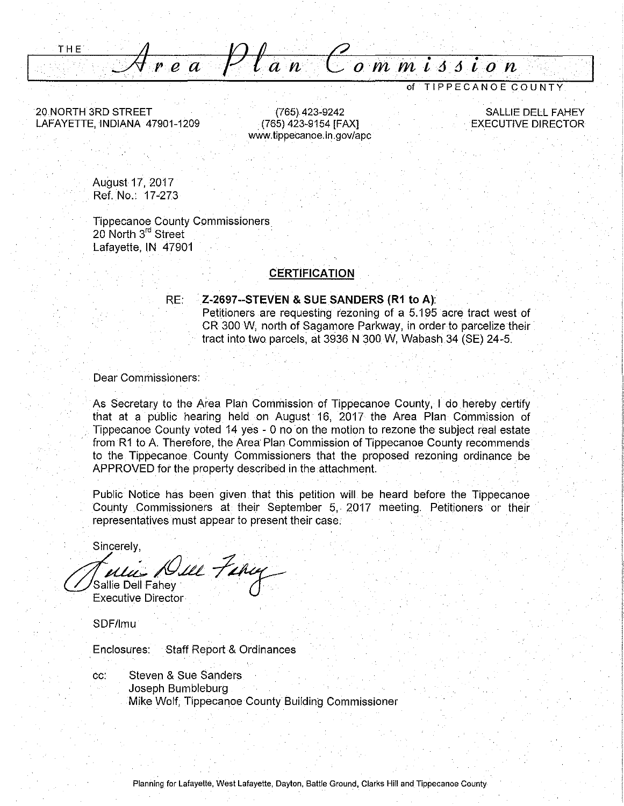:\_\_\_A.,. *ea Com mtddton* • •

of TIPPECANOE COUNTY

20 NORTH 3RD STREET LAFAYETTE, INDIANA 47901-1209

THE

(765) 423-9242 . (765) 423-9154 [FAX] www.tippecanoe.in.gov/apc

SALLIE DELL FAHEY EXECUTIVE DIRECTOR

August 17, 2017 Ref. No.: 17-273

Tippecanoe County Commissioners 20 North 3<sup>rd</sup> Street Lafayette, IN 47901

#### **CERTIFICATION**

RE: **Z-2697--STEVEN & SUE.SANDERS (R1 to A):** 

Petitioners are requesting rezoning of a 5.195 acre tract west of CR 300 W, north of Sagamore Parkway, in order to parcelize their tract into two parcels, at 3936 N 300 W. Wabash 34 (SE) 24-5.

Dear Commissioners:

As Secretary to the Area Plan Commission of Tippecanoe County, I do hereby certify that at a public hearing held on August 16, 2017 the Area Plan Commission of Tippecanoe County voted 14 yes - 0 no on the motion to rezone the subject real estate from R1 to A. Therefore, the Area Plan Commission of Tippecanoe County recommends to the Tippecanoe County Commissioners that the proposed rezoning ordinance be APPROVED for the property described in the attachment.

Public Notice has been given that this petition will be heard before the Tippecanoe County Commissioners at their September 5, 2017 meeting. Petitioners or their representatives must appear to present their case.

Sincerely,

Sinceren,<br>Tulus DULL Fahey<br>Sailie Dell Fahey

Executive Director

SDF/lmu

Enclosures: Staff Report & Ordinances

cc: Steven & Sue Sanders

Joseph Bumbleburg

Mike Wolf, Tippecanoe County Building Commissioner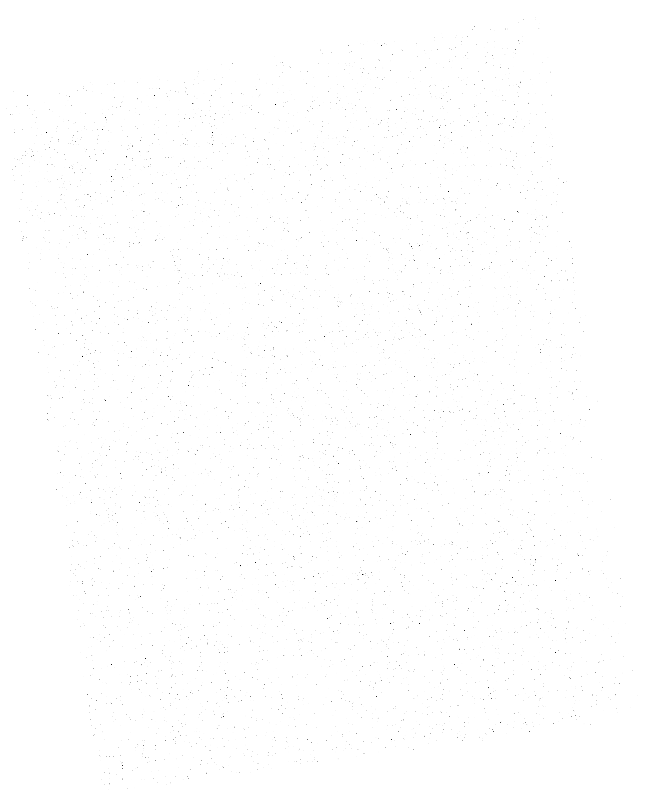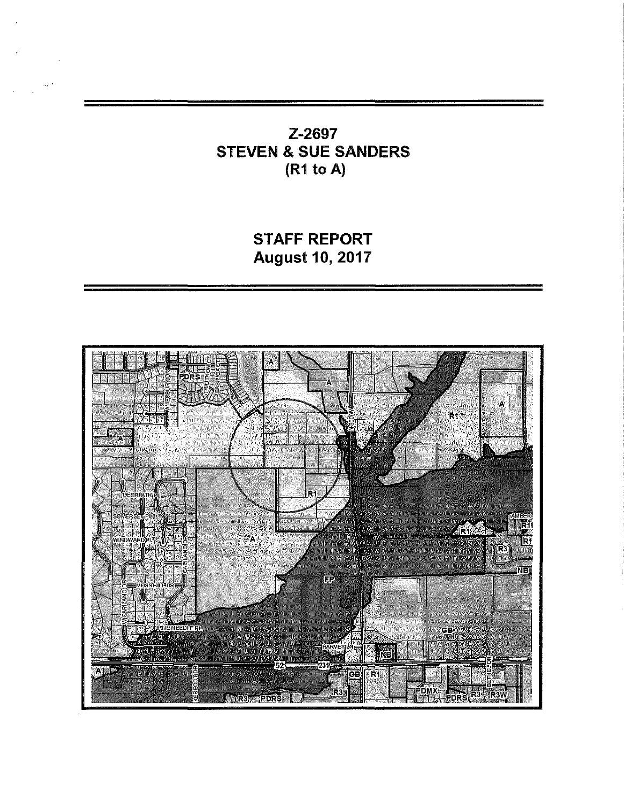# Z-2697 STEVEN & SUE SANDERS (R1 to A)

 $\omega_{\rm g}$  :

STAFF **REPORT**  August 10, 2017

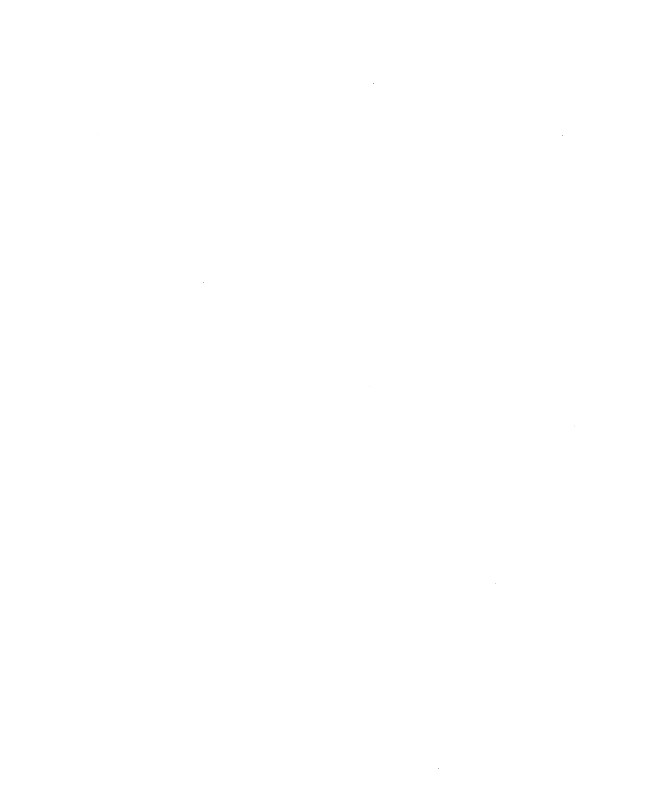$\label{eq:2.1} \mathcal{L}(\mathcal{L}^{\text{max}}_{\mathcal{L}}(\mathcal{L}^{\text{max}}_{\mathcal{L}})) \leq \mathcal{L}(\mathcal{L}^{\text{max}}_{\mathcal{L}}(\mathcal{L}^{\text{max}}_{\mathcal{L}}))$ 

 $\label{eq:2.1} \frac{1}{\sqrt{2}}\int_{\mathbb{R}^3}\frac{1}{\sqrt{2}}\left(\frac{1}{\sqrt{2}}\right)^2\left(\frac{1}{\sqrt{2}}\right)^2\left(\frac{1}{\sqrt{2}}\right)^2\left(\frac{1}{\sqrt{2}}\right)^2\left(\frac{1}{\sqrt{2}}\right)^2.$ 

 $\label{eq:2.1} \frac{1}{\sqrt{2}}\int_{\mathbb{R}^3}\frac{1}{\sqrt{2}}\left(\frac{1}{\sqrt{2}}\right)^2\frac{1}{\sqrt{2}}\left(\frac{1}{\sqrt{2}}\right)^2\frac{1}{\sqrt{2}}\left(\frac{1}{\sqrt{2}}\right)^2\frac{1}{\sqrt{2}}\left(\frac{1}{\sqrt{2}}\right)^2.$ 

 $\frac{1}{2} \left( \frac{1}{2} \right)$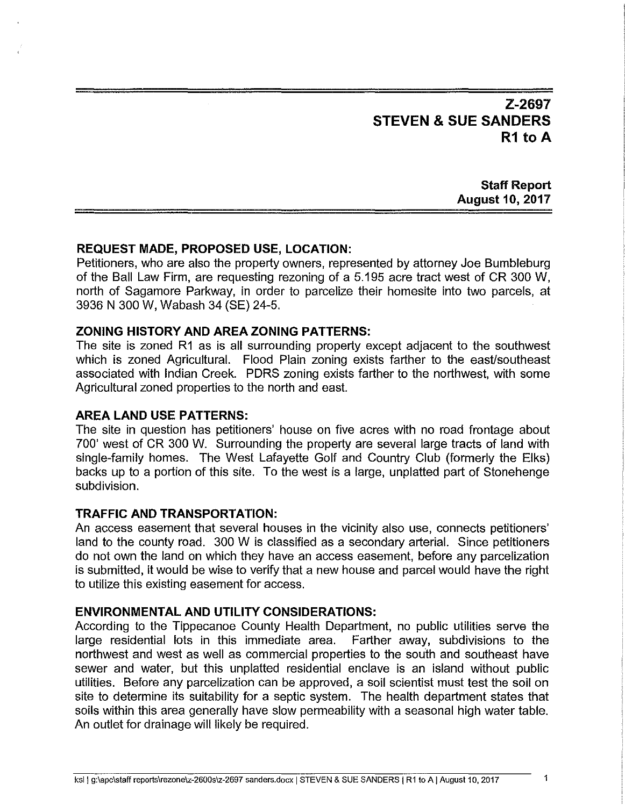## **Z-2697 STEVEN & SUE SANDERS R1 to A**

**Staff Report August10,2017** 

### **REQUEST MADE, PROPOSED USE, LOCATION:**

Petitioners, who are also the property owners, represented by attorney Joe Bumbleburg of the Ball Law Firm, are requesting rezoning of a 5.195 acre tract west of CR 300 W, north of Sagamore Parkway, in order to parcelize their homesite into two parcels, at 3936 N 300 W, Wabash 34 (SE) 24-5.

### **ZONING HISTORY AND AREA ZONING PATTERNS:**

The site is zoned R1 as is all surrounding property except adjacent to the southwest which is zoned Agricultural. Flood Plain zoning exists farther to the east/southeast associated with Indian Creek. PDRS zoning exists farther to the northwest, with some Agricultural zoned properties to the north and east.

### **AREA LAND USE PATTERNS:**

The site in question has petitioners' house on five acres with no road frontage about 700' west of CR 300 W. Surrounding the property are several large tracts of land with single-family homes. The West Lafayette Golf and Country Club {formerly the Elks) backs up to a portion of this site. To the west is a large, unplatted part of Stonehenge subdivision.

#### **TRAFFIC AND TRANSPORTATION:**

An access easement that several houses in the vicinity also use, connects petitioners' land to the county road. 300 W is classified as a secondary arterial. Since petitioners do not own the land on which they have an access easement, before any parcelization is submitted, it would be wise to verify that a new house and parcel would have the right to utilize this existing easement for access.

### **ENVIRONMENTAL AND UTILITY CONSIDERATIONS:**

According to the Tippecanoe County Health Department, no public utilities serve the large residential lots in this immediate area. Farther away, subdivisions to the northwest and west as well as commercial properties to the south and southeast have sewer and water, but this unplatted residential enclave is an island without public utilities. Before any parcelization can be approved, a soil scientist must test the soil on site to determine its suitability for a septic system. The health department states that soils within this area generally have slow permeability with a seasonal high water table. An outlet for drainage will likely be required.

1